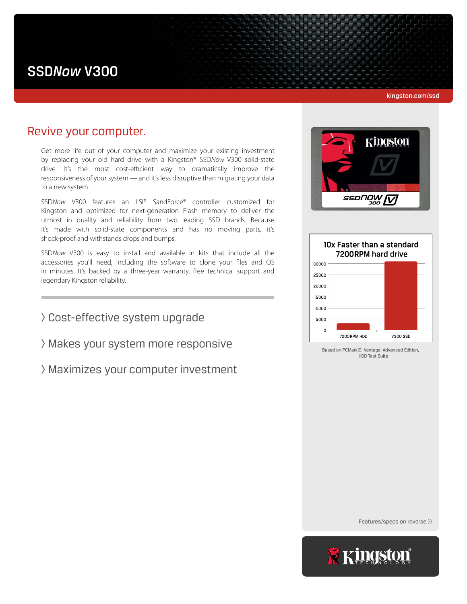# SSD*Now* V300

#### kingston.com/ssd

## Revive your computer.

Get more life out of your computer and maximize your existing investment by replacing your old hard drive with a Kingston® SSD*Now* V300 solid-state drive. It's the most cost-efficient way to dramatically improve the responsiveness of your system — and it's less disruptive than migrating your data to a new system.

SSD*Now* V300 features an LSI® SandForce® controller customized for Kingston and optimized for next-generation Flash memory to deliver the utmost in quality and reliability from two leading SSD brands. Because it's made with solid-state components and has no moving parts, it's shock-proof and withstands drops and bumps.

SSD*Now* V300 is easy to install and available in kits that include all the accessories you'll need, including the software to clone your files and OS in minutes. It's backed by a three-year warranty, free technical support and legendary Kingston reliability.

> Cost-effective system upgrade

> Makes your system more responsive

> Maximizes your computer investment





Based on PCMark® Vantage, Advanced Edition, HDD Test Suite

Features/specs on reverse >>